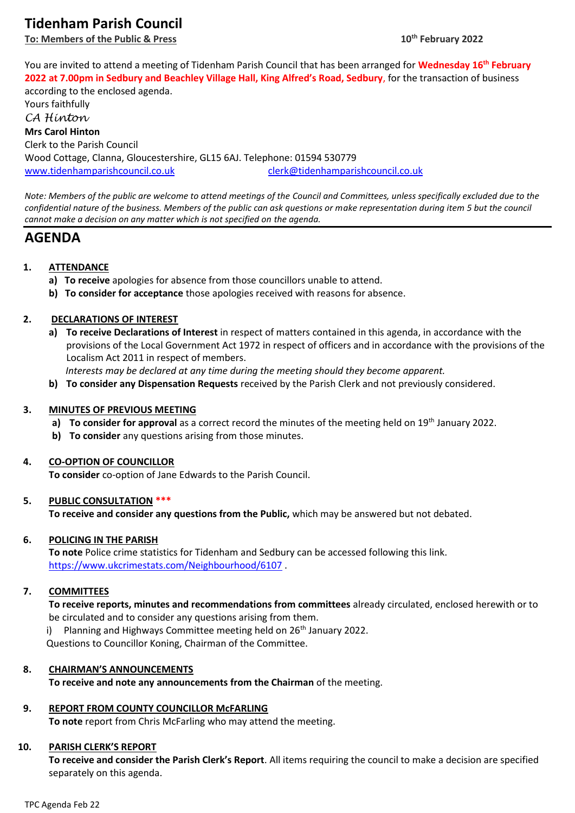# **Tidenham Parish Council**

**To: Members of the Public & Press** 

You are invited to attend a meeting of Tidenham Parish Council that has been arranged for **Wednesday 16 th February 2022 at 7.00pm in Sedbury and Beachley Village Hall, King Alfred's Road, Sedbury**, for the transaction of business

according to the enclosed agenda. Yours faithfully *CA Hinton* **Mrs Carol Hinton** Clerk to the Parish Council Wood Cottage, Clanna, Gloucestershire, GL15 6AJ. Telephone: 01594 530779 [www.tidenhamparishcouncil.co.uk](http://www.tidenhamparishcouncil.co.uk/) [clerk@tidenhamparishcouncil.co.uk](mailto:clerk@tidenhamparishcouncil.co.uk)

*Note: Members of the public are welcome to attend meetings of the Council and Committees, unless specifically excluded due to the confidential nature of the business. Members of the public can ask questions or make representation during item 5 but the council cannot make a decision on any matter which is not specified on the agenda.*

## **AGENDA**

## **1. ATTENDANCE**

- **a) To receive** apologies for absence from those councillors unable to attend.
- **b) To consider for acceptance** those apologies received with reasons for absence.

## **2. DECLARATIONS OF INTEREST**

**a) To receive Declarations of Interest** in respect of matters contained in this agenda, in accordance with the provisions of the Local Government Act 1972 in respect of officers and in accordance with the provisions of the Localism Act 2011 in respect of members.

 *Interests may be declared at any time during the meeting should they become apparent.*

**b) To consider any Dispensation Requests** received by the Parish Clerk and not previously considered.

## **3. MINUTES OF PREVIOUS MEETING**

- **a) To consider for approval** as a correct record the minutes of the meeting held on 19<sup>th</sup> January 2022.
- **b) To consider** any questions arising from those minutes.

## **4. CO-OPTION OF COUNCILLOR**

**To consider** co-option of Jane Edwards to the Parish Council.

## **5. PUBLIC CONSULTATION \*\*\***

**To receive and consider any questions from the Public,** which may be answered but not debated.

## **6. POLICING IN THE PARISH**

**To note** Police crime statistics for Tidenham and Sedbury can be accessed following this link. <https://www.ukcrimestats.com/Neighbourhood/6107> .

#### **7. COMMITTEES**

**To receive reports, minutes and recommendations from committees** already circulated, enclosed herewith or to be circulated and to consider any questions arising from them.

Planning and Highways Committee meeting held on 26<sup>th</sup> January 2022.

Questions to Councillor Koning, Chairman of the Committee.

#### **8. CHAIRMAN'S ANNOUNCEMENTS**

**To receive and note any announcements from the Chairman** of the meeting.

## **9. REPORT FROM COUNTY COUNCILLOR McFARLING**

**To note** report from Chris McFarling who may attend the meeting.

## **10. PARISH CLERK'S REPORT**

**To receive and consider the Parish Clerk's Report**. All items requiring the council to make a decision are specified separately on this agenda.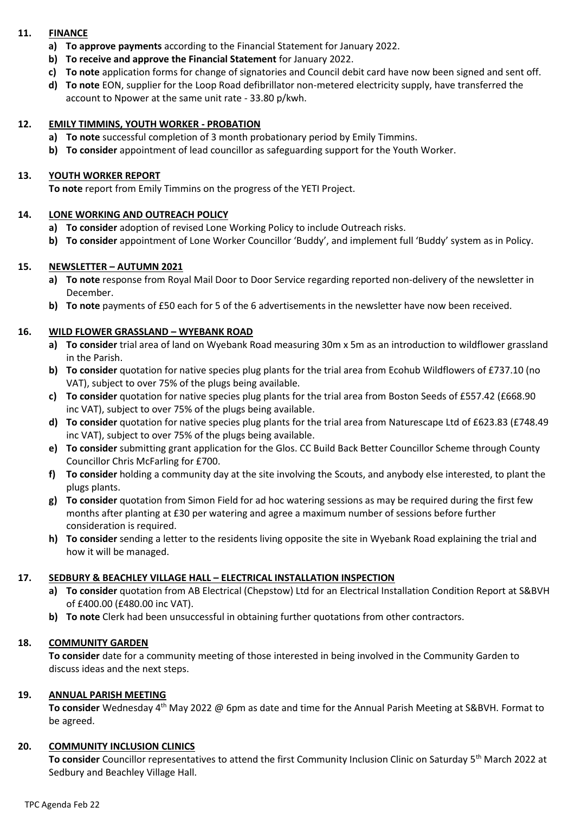## **11. FINANCE**

- **a) To approve payments** according to the Financial Statement for January 2022.
- **b) To receive and approve the Financial Statement** for January 2022.
- **c) To note** application forms for change of signatories and Council debit card have now been signed and sent off.
- **d) To note** EON, supplier for the Loop Road defibrillator non-metered electricity supply, have transferred the account to Npower at the same unit rate - 33.80 p/kwh.

### **12. EMILY TIMMINS, YOUTH WORKER - PROBATION**

- **a) To note** successful completion of 3 month probationary period by Emily Timmins.
- **b) To consider** appointment of lead councillor as safeguarding support for the Youth Worker.

#### **13. YOUTH WORKER REPORT**

**To note** report from Emily Timmins on the progress of the YETI Project.

#### **14. LONE WORKING AND OUTREACH POLICY**

- **a) To consider** adoption of revised Lone Working Policy to include Outreach risks.
- **b) To consider** appointment of Lone Worker Councillor 'Buddy', and implement full 'Buddy' system as in Policy.

#### **15. NEWSLETTER – AUTUMN 2021**

- **a) To note** response from Royal Mail Door to Door Service regarding reported non-delivery of the newsletter in December.
- **b) To note** payments of £50 each for 5 of the 6 advertisements in the newsletter have now been received.

#### **16. WILD FLOWER GRASSLAND – WYEBANK ROAD**

- **a) To consider** trial area of land on Wyebank Road measuring 30m x 5m as an introduction to wildflower grassland in the Parish.
- **b) To consider** quotation for native species plug plants for the trial area from Ecohub Wildflowers of £737.10 (no VAT), subject to over 75% of the plugs being available.
- **c) To consider** quotation for native species plug plants for the trial area from Boston Seeds of £557.42 (£668.90 inc VAT), subject to over 75% of the plugs being available.
- **d) To consider** quotation for native species plug plants for the trial area from Naturescape Ltd of £623.83 (£748.49 inc VAT), subject to over 75% of the plugs being available.
- **e) To consider** submitting grant application for the Glos. CC Build Back Better Councillor Scheme through County Councillor Chris McFarling for £700.
- **f) To consider** holding a community day at the site involving the Scouts, and anybody else interested, to plant the plugs plants.
- **g) To consider** quotation from Simon Field for ad hoc watering sessions as may be required during the first few months after planting at £30 per watering and agree a maximum number of sessions before further consideration is required.
- **h) To consider** sending a letter to the residents living opposite the site in Wyebank Road explaining the trial and how it will be managed.

## **17. SEDBURY & BEACHLEY VILLAGE HALL – ELECTRICAL INSTALLATION INSPECTION**

- **a) To consider** quotation from AB Electrical (Chepstow) Ltd for an Electrical Installation Condition Report at S&BVH of £400.00 (£480.00 inc VAT).
- **b) To note** Clerk had been unsuccessful in obtaining further quotations from other contractors.

## **18. COMMUNITY GARDEN**

**To consider** date for a community meeting of those interested in being involved in the Community Garden to discuss ideas and the next steps.

#### **19. ANNUAL PARISH MEETING**

**To consider** Wednesday 4th May 2022 @ 6pm as date and time for the Annual Parish Meeting at S&BVH. Format to be agreed.

#### **20. COMMUNITY INCLUSION CLINICS**

To consider Councillor representatives to attend the first Community Inclusion Clinic on Saturday 5<sup>th</sup> March 2022 at Sedbury and Beachley Village Hall.